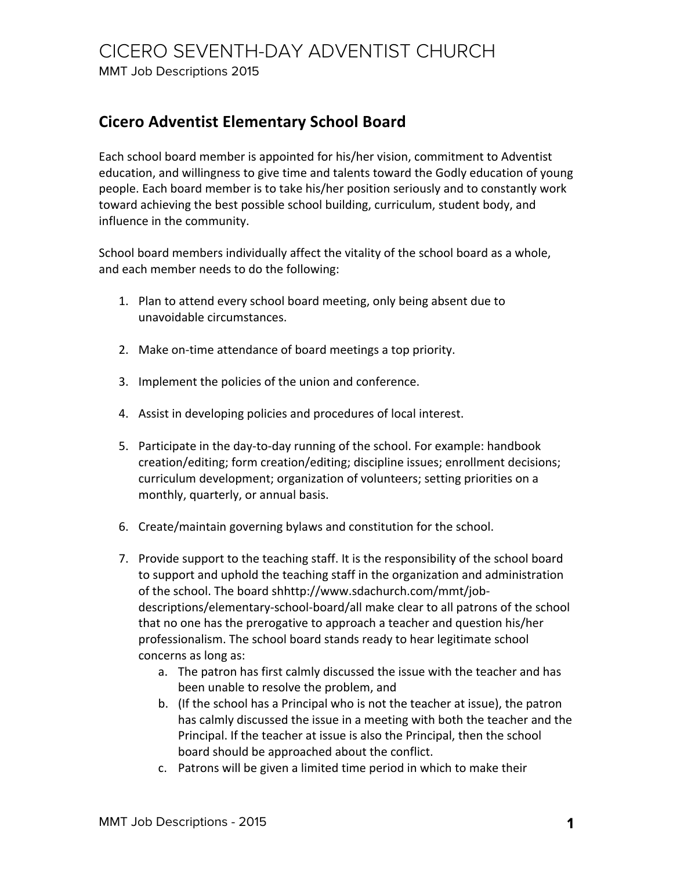## CICERO SEVENTH-DAY ADVENTIST CHURCH

MMT Job Descriptions 2015

## **Cicero Adventist Elementary School Board**

Each school board member is appointed for his/her vision, commitment to Adventist education, and willingness to give time and talents toward the Godly education of young people. Each board member is to take his/her position seriously and to constantly work toward achieving the best possible school building, curriculum, student body, and influence in the community.

School board members individually affect the vitality of the school board as a whole, and each member needs to do the following:

- 1. Plan to attend every school board meeting, only being absent due to unavoidable circumstances.
- 2. Make on-time attendance of board meetings a top priority.
- 3. Implement the policies of the union and conference.
- 4. Assist in developing policies and procedures of local interest.
- 5. Participate in the day-to-day running of the school. For example: handbook creation/editing; form creation/editing; discipline issues; enrollment decisions; curriculum development; organization of volunteers; setting priorities on a monthly, quarterly, or annual basis.
- 6. Create/maintain governing bylaws and constitution for the school.
- 7. Provide support to the teaching staff. It is the responsibility of the school board to support and uphold the teaching staff in the organization and administration of the school. The board shhttp://www.sdachurch.com/mmt/jobdescriptions/elementary-school-board/all make clear to all patrons of the school that no one has the prerogative to approach a teacher and question his/her professionalism. The school board stands ready to hear legitimate school concerns as long as:
	- a. The patron has first calmly discussed the issue with the teacher and has been unable to resolve the problem, and
	- b. (If the school has a Principal who is not the teacher at issue), the patron has calmly discussed the issue in a meeting with both the teacher and the Principal. If the teacher at issue is also the Principal, then the school board should be approached about the conflict.
	- c. Patrons will be given a limited time period in which to make their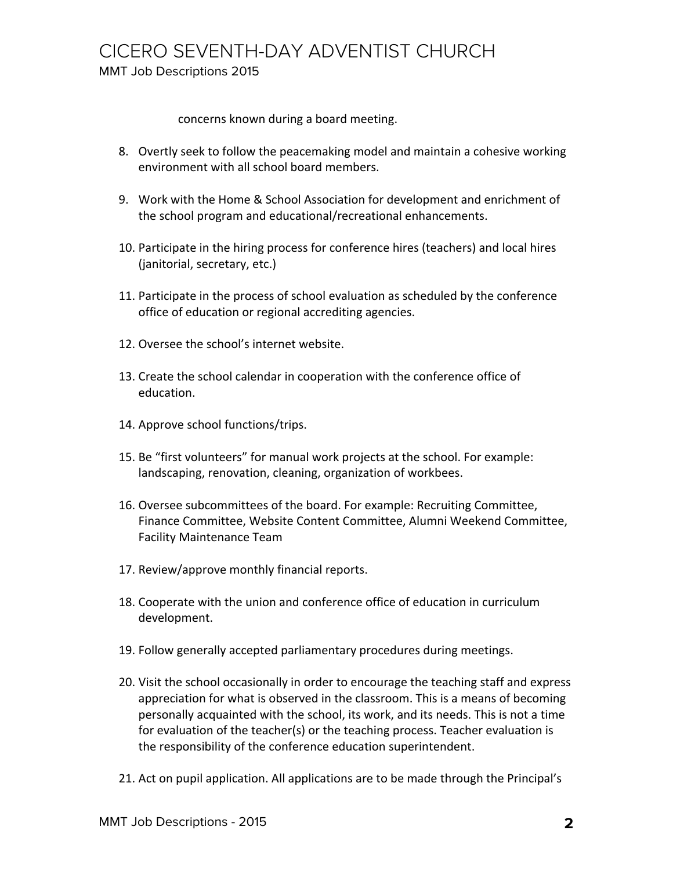concerns known during a board meeting.

- 8. Overtly seek to follow the peacemaking model and maintain a cohesive working environment with all school board members.
- 9. Work with the Home & School Association for development and enrichment of the school program and educational/recreational enhancements.
- 10. Participate in the hiring process for conference hires (teachers) and local hires (janitorial, secretary, etc.)
- 11. Participate in the process of school evaluation as scheduled by the conference office of education or regional accrediting agencies.
- 12. Oversee the school's internet website.
- 13. Create the school calendar in cooperation with the conference office of education.
- 14. Approve school functions/trips.
- 15. Be "first volunteers" for manual work projects at the school. For example: landscaping, renovation, cleaning, organization of workbees.
- 16. Oversee subcommittees of the board. For example: Recruiting Committee, Finance Committee, Website Content Committee, Alumni Weekend Committee, Facility Maintenance Team
- 17. Review/approve monthly financial reports.
- 18. Cooperate with the union and conference office of education in curriculum development.
- 19. Follow generally accepted parliamentary procedures during meetings.
- 20. Visit the school occasionally in order to encourage the teaching staff and express appreciation for what is observed in the classroom. This is a means of becoming personally acquainted with the school, its work, and its needs. This is not a time for evaluation of the teacher(s) or the teaching process. Teacher evaluation is the responsibility of the conference education superintendent.
- 21. Act on pupil application. All applications are to be made through the Principal's